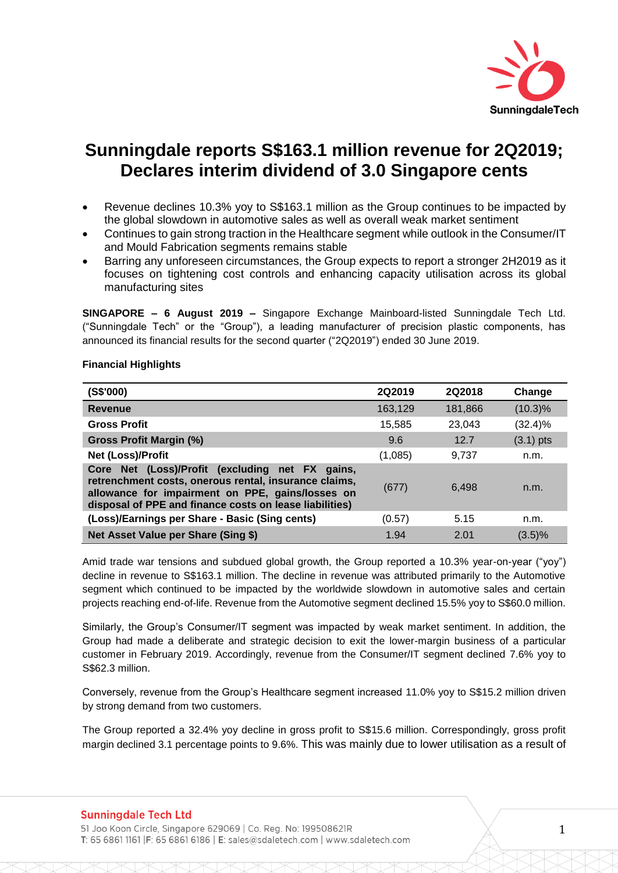

# **Sunningdale reports S\$163.1 million revenue for 2Q2019; Declares interim dividend of 3.0 Singapore cents**

- Revenue declines 10.3% yoy to S\$163.1 million as the Group continues to be impacted by the global slowdown in automotive sales as well as overall weak market sentiment
- Continues to gain strong traction in the Healthcare segment while outlook in the Consumer/IT and Mould Fabrication segments remains stable
- Barring any unforeseen circumstances, the Group expects to report a stronger 2H2019 as it focuses on tightening cost controls and enhancing capacity utilisation across its global manufacturing sites

**SINGAPORE – 6 August 2019 –** Singapore Exchange Mainboard-listed Sunningdale Tech Ltd. ("Sunningdale Tech" or the "Group"), a leading manufacturer of precision plastic components, has announced its financial results for the second quarter ("2Q2019") ended 30 June 2019.

| (S\$'000)                                                                                                                                                                                                               | 2Q2019  | 2Q2018  | Change      |
|-------------------------------------------------------------------------------------------------------------------------------------------------------------------------------------------------------------------------|---------|---------|-------------|
| <b>Revenue</b>                                                                                                                                                                                                          | 163,129 | 181,866 | $(10.3)\%$  |
| <b>Gross Profit</b>                                                                                                                                                                                                     | 15,585  | 23,043  | (32.4)%     |
| Gross Profit Margin (%)                                                                                                                                                                                                 | 9.6     | 12.7    | $(3.1)$ pts |
| Net (Loss)/Profit                                                                                                                                                                                                       | (1,085) | 9,737   | n.m.        |
| Core Net (Loss)/Profit (excluding net FX gains,<br>retrenchment costs, onerous rental, insurance claims,<br>allowance for impairment on PPE, gains/losses on<br>disposal of PPE and finance costs on lease liabilities) | (677)   | 6.498   | n.m.        |
| (Loss)/Earnings per Share - Basic (Sing cents)                                                                                                                                                                          | (0.57)  | 5.15    | n.m.        |
| <b>Net Asset Value per Share (Sing \$)</b>                                                                                                                                                                              | 1.94    | 2.01    | $(3.5)\%$   |

# **Financial Highlights**

Amid trade war tensions and subdued global growth, the Group reported a 10.3% year-on-year ("yoy") decline in revenue to S\$163.1 million. The decline in revenue was attributed primarily to the Automotive segment which continued to be impacted by the worldwide slowdown in automotive sales and certain projects reaching end-of-life. Revenue from the Automotive segment declined 15.5% yoy to S\$60.0 million.

Similarly, the Group's Consumer/IT segment was impacted by weak market sentiment. In addition, the Group had made a deliberate and strategic decision to exit the lower-margin business of a particular customer in February 2019. Accordingly, revenue from the Consumer/IT segment declined 7.6% yoy to S\$62.3 million.

Conversely, revenue from the Group's Healthcare segment increased 11.0% yoy to S\$15.2 million driven by strong demand from two customers.

The Group reported a 32.4% yoy decline in gross profit to S\$15.6 million. Correspondingly, gross profit margin declined 3.1 percentage points to 9.6%. This was mainly due to lower utilisation as a result of

# **Sunningdale Tech Ltd**

51 Joo Koon Circle, Singapore 629069 | Co. Reg. No: 199508621R T: 65 6861 1161 | F: 65 6861 6186 | E: sales@sdaletech.com | www.sdaletech.com